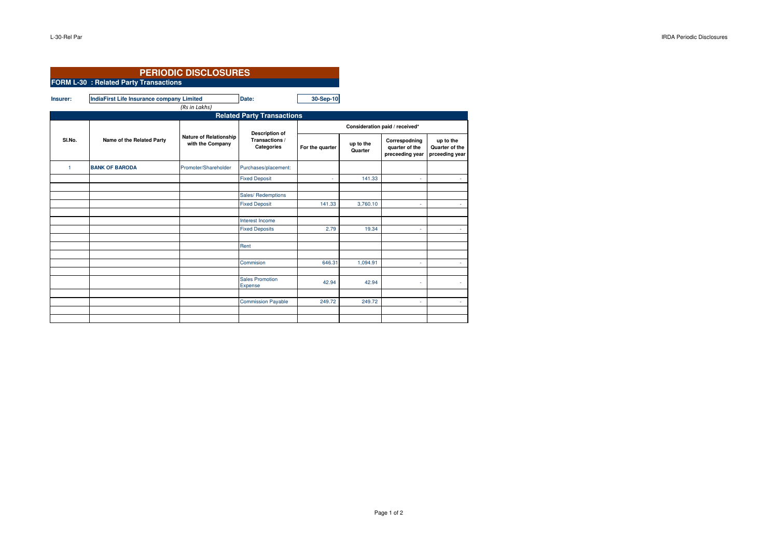|                                   | <b>PERIODIC DISCLOSURES</b>                      |                                                   |                                                       |                                |                      |                                                    |                                               |  |  |  |  |
|-----------------------------------|--------------------------------------------------|---------------------------------------------------|-------------------------------------------------------|--------------------------------|----------------------|----------------------------------------------------|-----------------------------------------------|--|--|--|--|
|                                   | <b>FORM L-30 : Related Party Transactions</b>    |                                                   |                                                       |                                |                      |                                                    |                                               |  |  |  |  |
| Insurer:                          | <b>IndiaFirst Life Insurance company Limited</b> | (Rs in Lakhs)                                     | Date:                                                 | 30-Sep-10                      |                      |                                                    |                                               |  |  |  |  |
| <b>Related Party Transactions</b> |                                                  |                                                   |                                                       |                                |                      |                                                    |                                               |  |  |  |  |
| SI.No.                            | Name of the Related Party                        | <b>Nature of Relationship</b><br>with the Company | <b>Description of</b><br>Transactions /<br>Categories | Consideration paid / received* |                      |                                                    |                                               |  |  |  |  |
|                                   |                                                  |                                                   |                                                       | For the quarter                | up to the<br>Quarter | Correspodning<br>quarter of the<br>preceeding year | up to the<br>Quarter of the<br>prceeding year |  |  |  |  |
| $\overline{1}$                    | <b>BANK OF BARODA</b>                            | Promoter/Shareholder                              | Purchases/placement:                                  |                                |                      |                                                    |                                               |  |  |  |  |
|                                   |                                                  |                                                   | <b>Fixed Deposit</b>                                  | ä,                             | 141.33               | ä,                                                 | A.                                            |  |  |  |  |
|                                   |                                                  |                                                   |                                                       |                                |                      |                                                    |                                               |  |  |  |  |
|                                   |                                                  |                                                   | Sales/ Redemptions                                    |                                |                      |                                                    |                                               |  |  |  |  |
|                                   |                                                  |                                                   | <b>Fixed Deposit</b>                                  | 141.33                         | 3,760.10             | ٠                                                  | ×.                                            |  |  |  |  |
|                                   |                                                  |                                                   |                                                       |                                |                      |                                                    |                                               |  |  |  |  |
|                                   |                                                  |                                                   | Interest Income                                       |                                |                      |                                                    |                                               |  |  |  |  |
|                                   |                                                  |                                                   | <b>Fixed Deposits</b>                                 | 2.79                           | 19.34                | ٠                                                  | ÷.                                            |  |  |  |  |
|                                   |                                                  |                                                   |                                                       |                                |                      |                                                    |                                               |  |  |  |  |
|                                   |                                                  |                                                   | Rent                                                  |                                |                      |                                                    |                                               |  |  |  |  |
|                                   |                                                  |                                                   |                                                       |                                |                      |                                                    |                                               |  |  |  |  |
|                                   |                                                  |                                                   | Commision                                             | 646.31                         | 1,094.91             | ä                                                  | ×.                                            |  |  |  |  |
|                                   |                                                  |                                                   |                                                       |                                |                      |                                                    |                                               |  |  |  |  |
|                                   |                                                  |                                                   | <b>Sales Promotion</b><br>Expense                     | 42.94                          | 42.94                | ä,                                                 | ٠                                             |  |  |  |  |
|                                   |                                                  |                                                   |                                                       |                                |                      |                                                    |                                               |  |  |  |  |
|                                   |                                                  |                                                   | <b>Commission Payable</b>                             | 249.72                         | 249.72               | ٠                                                  | ٠.                                            |  |  |  |  |
|                                   |                                                  |                                                   |                                                       |                                |                      |                                                    |                                               |  |  |  |  |
|                                   |                                                  |                                                   |                                                       |                                |                      |                                                    |                                               |  |  |  |  |